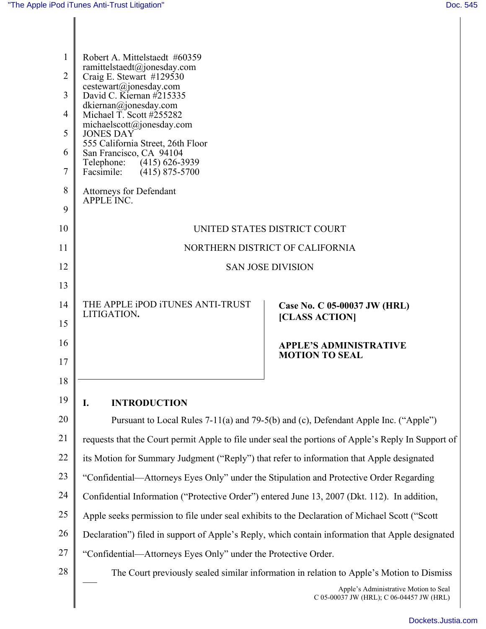| $\mathbf{1}$<br>$\overline{2}$ | Robert A. Mittelstaedt #60359<br>ramittelstaedt@jonesday.com<br>Craig E. Stewart #129530                                                                                                                                                                                                   |                                                                                   |  |
|--------------------------------|--------------------------------------------------------------------------------------------------------------------------------------------------------------------------------------------------------------------------------------------------------------------------------------------|-----------------------------------------------------------------------------------|--|
| 3                              | cestewart@jonesday.com<br>David C. Kiernan $\#215335$<br>dkiernan@jonesday.com<br>Michael T. Scott #255282<br>michaelscott@jonesday.com<br><b>JONES DAY</b><br>555 California Street, 26th Floor<br>San Francisco, CA 94104<br>Telephone: (415) 626-3939<br>Facsimile:<br>$(415)$ 875-5700 |                                                                                   |  |
| $\overline{4}$                 |                                                                                                                                                                                                                                                                                            |                                                                                   |  |
| 5                              |                                                                                                                                                                                                                                                                                            |                                                                                   |  |
| 6                              |                                                                                                                                                                                                                                                                                            |                                                                                   |  |
| 7                              |                                                                                                                                                                                                                                                                                            |                                                                                   |  |
| 8                              | Attorneys for Defendant<br>APPLE INC.                                                                                                                                                                                                                                                      |                                                                                   |  |
| 9                              |                                                                                                                                                                                                                                                                                            |                                                                                   |  |
| 10                             | UNITED STATES DISTRICT COURT                                                                                                                                                                                                                                                               |                                                                                   |  |
| 11                             | NORTHERN DISTRICT OF CALIFORNIA                                                                                                                                                                                                                                                            |                                                                                   |  |
| 12                             | <b>SAN JOSE DIVISION</b>                                                                                                                                                                                                                                                                   |                                                                                   |  |
| 13                             |                                                                                                                                                                                                                                                                                            |                                                                                   |  |
| 14                             | THE APPLE IPOD ITUNES ANTI-TRUST<br>LITIGATION.                                                                                                                                                                                                                                            | Case No. C 05-00037 JW (HRL)                                                      |  |
| 15                             |                                                                                                                                                                                                                                                                                            | [CLASS ACTION]                                                                    |  |
| 16                             |                                                                                                                                                                                                                                                                                            | <b>APPLE'S ADMINISTRATIVE</b>                                                     |  |
| 17                             |                                                                                                                                                                                                                                                                                            | <b>MOTION TO SEAL</b>                                                             |  |
| 18                             |                                                                                                                                                                                                                                                                                            |                                                                                   |  |
| 19                             | I.<br><b>INTRODUCTION</b>                                                                                                                                                                                                                                                                  |                                                                                   |  |
| 20                             | Pursuant to Local Rules 7-11(a) and 79-5(b) and (c), Defendant Apple Inc. ("Apple")                                                                                                                                                                                                        |                                                                                   |  |
| 21                             | requests that the Court permit Apple to file under seal the portions of Apple's Reply In Support of                                                                                                                                                                                        |                                                                                   |  |
| 22                             | its Motion for Summary Judgment ("Reply") that refer to information that Apple designated                                                                                                                                                                                                  |                                                                                   |  |
| 23                             | "Confidential—Attorneys Eyes Only" under the Stipulation and Protective Order Regarding                                                                                                                                                                                                    |                                                                                   |  |
| 24                             | Confidential Information ("Protective Order") entered June 13, 2007 (Dkt. 112). In addition,                                                                                                                                                                                               |                                                                                   |  |
| 25                             | Apple seeks permission to file under seal exhibits to the Declaration of Michael Scott ("Scott"                                                                                                                                                                                            |                                                                                   |  |
| 26                             | Declaration") filed in support of Apple's Reply, which contain information that Apple designated                                                                                                                                                                                           |                                                                                   |  |
| 27                             | "Confidential—Attorneys Eyes Only" under the Protective Order.                                                                                                                                                                                                                             |                                                                                   |  |
| $28\,$                         | The Court previously sealed similar information in relation to Apple's Motion to Dismiss                                                                                                                                                                                                   |                                                                                   |  |
|                                |                                                                                                                                                                                                                                                                                            | Apple's Administrative Motion to Seal<br>C 05-00037 JW (HRL); C 06-04457 JW (HRL) |  |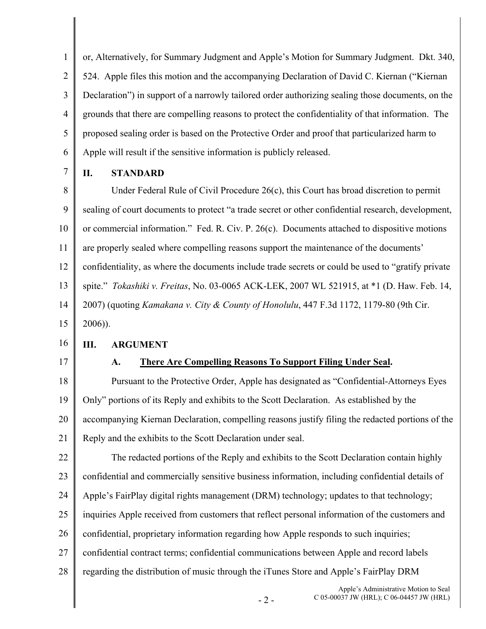1 2 3 4 5 6 or, Alternatively, for Summary Judgment and Apple's Motion for Summary Judgment. Dkt. 340, 524. Apple files this motion and the accompanying Declaration of David C. Kiernan ("Kiernan Declaration") in support of a narrowly tailored order authorizing sealing those documents, on the grounds that there are compelling reasons to protect the confidentiality of that information. The proposed sealing order is based on the Protective Order and proof that particularized harm to Apple will result if the sensitive information is publicly released.

7

## **II. STANDARD**

8 9 10 11 12 13 14 15 Under Federal Rule of Civil Procedure 26(c), this Court has broad discretion to permit sealing of court documents to protect "a trade secret or other confidential research, development, or commercial information." Fed. R. Civ. P. 26(c). Documents attached to dispositive motions are properly sealed where compelling reasons support the maintenance of the documents' confidentiality, as where the documents include trade secrets or could be used to "gratify private spite." *Tokashiki v. Freitas*, No. 03-0065 ACK-LEK, 2007 WL 521915, at \*1 (D. Haw. Feb. 14, 2007) (quoting *Kamakana v. City & County of Honolulu*, 447 F.3d 1172, 1179-80 (9th Cir. 2006)).

16

## **III. ARGUMENT**

17

## **A. There Are Compelling Reasons To Support Filing Under Seal.**

18 19 20 21 Pursuant to the Protective Order, Apple has designated as "Confidential-Attorneys Eyes Only" portions of its Reply and exhibits to the Scott Declaration. As established by the accompanying Kiernan Declaration, compelling reasons justify filing the redacted portions of the Reply and the exhibits to the Scott Declaration under seal.

22 23 24 25 26 27 28 The redacted portions of the Reply and exhibits to the Scott Declaration contain highly confidential and commercially sensitive business information, including confidential details of Apple's FairPlay digital rights management (DRM) technology; updates to that technology; inquiries Apple received from customers that reflect personal information of the customers and confidential, proprietary information regarding how Apple responds to such inquiries; confidential contract terms; confidential communications between Apple and record labels regarding the distribution of music through the iTunes Store and Apple's FairPlay DRM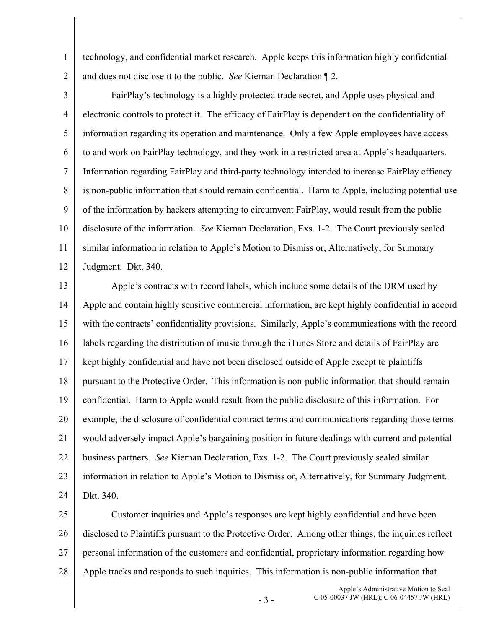technology, and confidential market research. Apple keeps this information highly confidential and does not disclose it to the public. *See* Kiernan Declaration ¶ 2.

2 3

1

4 5 6 7 8 9 10 11 12 FairPlay's technology is a highly protected trade secret, and Apple uses physical and electronic controls to protect it. The efficacy of FairPlay is dependent on the confidentiality of information regarding its operation and maintenance. Only a few Apple employees have access to and work on FairPlay technology, and they work in a restricted area at Apple's headquarters. Information regarding FairPlay and third-party technology intended to increase FairPlay efficacy is non-public information that should remain confidential. Harm to Apple, including potential use of the information by hackers attempting to circumvent FairPlay, would result from the public disclosure of the information. *See* Kiernan Declaration, Exs. 1-2. The Court previously sealed similar information in relation to Apple's Motion to Dismiss or, Alternatively, for Summary Judgment. Dkt. 340.

13 14 15 16 17 18 19 20 21 22 23 24 Apple's contracts with record labels, which include some details of the DRM used by Apple and contain highly sensitive commercial information, are kept highly confidential in accord with the contracts' confidentiality provisions. Similarly, Apple's communications with the record labels regarding the distribution of music through the iTunes Store and details of FairPlay are kept highly confidential and have not been disclosed outside of Apple except to plaintiffs pursuant to the Protective Order. This information is non-public information that should remain confidential. Harm to Apple would result from the public disclosure of this information. For example, the disclosure of confidential contract terms and communications regarding those terms would adversely impact Apple's bargaining position in future dealings with current and potential business partners. *See* Kiernan Declaration, Exs. 1-2. The Court previously sealed similar information in relation to Apple's Motion to Dismiss or, Alternatively, for Summary Judgment. Dkt. 340.

25 26 27 28 Customer inquiries and Apple's responses are kept highly confidential and have been disclosed to Plaintiffs pursuant to the Protective Order. Among other things, the inquiries reflect personal information of the customers and confidential, proprietary information regarding how Apple tracks and responds to such inquiries. This information is non-public information that